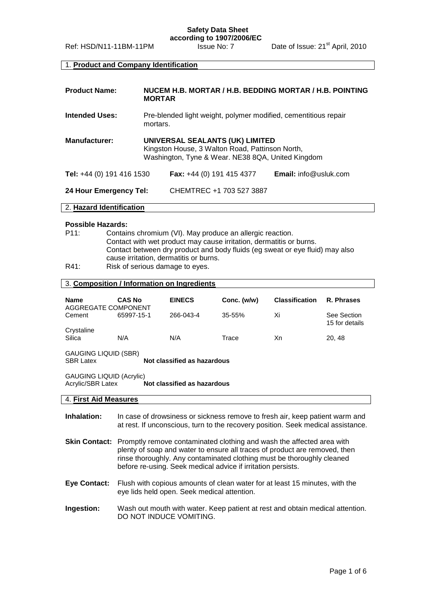## 1. **Product and Company Identification**

| <b>Product Name:</b>      | NUCEM H.B. MORTAR / H.B. BEDDING MORTAR / H.B. POINTING<br><b>MORTAR</b>                                                                |                                    |                                 |
|---------------------------|-----------------------------------------------------------------------------------------------------------------------------------------|------------------------------------|---------------------------------|
| <b>Intended Uses:</b>     | Pre-blended light weight, polymer modified, cementitious repair<br>mortars.                                                             |                                    |                                 |
| <b>Manufacturer:</b>      | UNIVERSAL SEALANTS (UK) LIMITED<br>Kingston House, 3 Walton Road, Pattinson North,<br>Washington, Tyne & Wear. NE38 8QA, United Kingdom |                                    |                                 |
| Tel: +44 (0) 191 416 1530 |                                                                                                                                         | <b>Fax:</b> $+44$ (0) 191 415 4377 | <b>Email:</b> $info@$ usluk.com |
| 24 Hour Emergency Tel:    |                                                                                                                                         | CHEMTREC +1 703 527 3887           |                                 |

#### 2. **Hazard Identification**

#### **Possible Hazards:**

| P11: | Contains chromium (VI). May produce an allergic reaction.                    |
|------|------------------------------------------------------------------------------|
|      | Contact with wet product may cause irritation, dermatitis or burns.          |
|      | Contact between dry product and body fluids (eg sweat or eye fluid) may also |
|      | cause irritation, dermatitis or burns.                                       |
| R41: | Risk of serious damage to eyes.                                              |

# 3. **Composition / Information on Ingredients**

| <b>Name</b>                                                                         | <b>CAS No</b> | <b>EINECS</b> | Conc. (w/w) | <b>Classification</b> | R. Phrases                    |
|-------------------------------------------------------------------------------------|---------------|---------------|-------------|-----------------------|-------------------------------|
| AGGREGATE COMPONENT<br>Cement                                                       | 65997-15-1    | 266-043-4     | $35 - 55%$  | Xi                    | See Section<br>15 for details |
| Crystaline<br>Silica                                                                | N/A           | N/A           | Trace       | Xn                    | 20, 48                        |
| GAUGING LIQUID (SBR)<br>Not classified as hazardous<br><b>SBR Latex</b>             |               |               |             |                       |                               |
| <b>GAUGING LIQUID (Acrylic)</b><br>Acrylic/SBR Latex<br>Not classified as hazardous |               |               |             |                       |                               |
| 4. First Aid Measures                                                               |               |               |             |                       |                               |

- **Inhalation:** In case of drowsiness or sickness remove to fresh air, keep patient warm and at rest. If unconscious, turn to the recovery position. Seek medical assistance.
- **Skin Contact:** Promptly remove contaminated clothing and wash the affected area with plenty of soap and water to ensure all traces of product are removed, then rinse thoroughly. Any contaminated clothing must be thoroughly cleaned before re-using. Seek medical advice if irritation persists.
- **Eye Contact:** Flush with copious amounts of clean water for at least 15 minutes, with the eye lids held open. Seek medical attention.
- **Ingestion:** Wash out mouth with water. Keep patient at rest and obtain medical attention. DO NOT INDUCE VOMITING.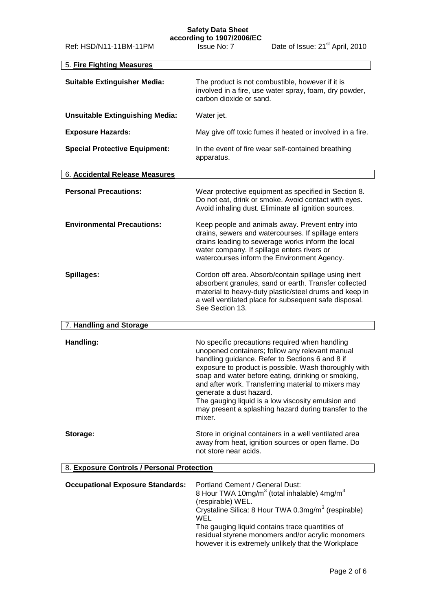### **Safety Data Sheet according to 1907/2006/EC**

| 5. Fire Fighting Measures                  |                                                                                                                                                                                                                                                                                                                                                                                                                                                                                |  |
|--------------------------------------------|--------------------------------------------------------------------------------------------------------------------------------------------------------------------------------------------------------------------------------------------------------------------------------------------------------------------------------------------------------------------------------------------------------------------------------------------------------------------------------|--|
| <b>Suitable Extinguisher Media:</b>        | The product is not combustible, however if it is<br>involved in a fire, use water spray, foam, dry powder,<br>carbon dioxide or sand.                                                                                                                                                                                                                                                                                                                                          |  |
| <b>Unsuitable Extinguishing Media:</b>     | Water jet.                                                                                                                                                                                                                                                                                                                                                                                                                                                                     |  |
| <b>Exposure Hazards:</b>                   | May give off toxic fumes if heated or involved in a fire.                                                                                                                                                                                                                                                                                                                                                                                                                      |  |
| <b>Special Protective Equipment:</b>       | In the event of fire wear self-contained breathing<br>apparatus.                                                                                                                                                                                                                                                                                                                                                                                                               |  |
| 6. Accidental Release Measures             |                                                                                                                                                                                                                                                                                                                                                                                                                                                                                |  |
| <b>Personal Precautions:</b>               | Wear protective equipment as specified in Section 8.<br>Do not eat, drink or smoke. Avoid contact with eyes.<br>Avoid inhaling dust. Eliminate all ignition sources.                                                                                                                                                                                                                                                                                                           |  |
| <b>Environmental Precautions:</b>          | Keep people and animals away. Prevent entry into<br>drains, sewers and watercourses. If spillage enters<br>drains leading to sewerage works inform the local<br>water company. If spillage enters rivers or<br>watercourses inform the Environment Agency.                                                                                                                                                                                                                     |  |
| Spillages:                                 | Cordon off area. Absorb/contain spillage using inert<br>absorbent granules, sand or earth. Transfer collected<br>material to heavy-duty plastic/steel drums and keep in<br>a well ventilated place for subsequent safe disposal.<br>See Section 13.                                                                                                                                                                                                                            |  |
| 7. Handling and Storage                    |                                                                                                                                                                                                                                                                                                                                                                                                                                                                                |  |
| Handling:                                  | No specific precautions required when handling<br>unopened containers; follow any relevant manual<br>handling guidance. Refer to Sections 6 and 8 if<br>exposure to product is possible. Wash thoroughly with<br>soap and water before eating, drinking or smoking,<br>and after work. Transferring material to mixers may<br>generate a dust hazard.<br>The gauging liquid is a low viscosity emulsion and<br>may present a splashing hazard during transfer to the<br>mixer. |  |
| Storage:                                   | Store in original containers in a well ventilated area<br>away from heat, ignition sources or open flame. Do<br>not store near acids.                                                                                                                                                                                                                                                                                                                                          |  |
| 8. Exposure Controls / Personal Protection |                                                                                                                                                                                                                                                                                                                                                                                                                                                                                |  |
| <b>Occupational Exposure Standards:</b>    | Portland Cement / General Dust:<br>8 Hour TWA 10mg/m <sup>3</sup> (total inhalable) $4$ mg/m <sup>3</sup><br>(respirable) WEL.<br>Crystaline Silica: 8 Hour TWA 0.3mg/m <sup>3</sup> (respirable)<br>WEL<br>The gauging liquid contains trace quantities of<br>residual styrene monomers and/or acrylic monomers<br>however it is extremely unlikely that the Workplace                                                                                                        |  |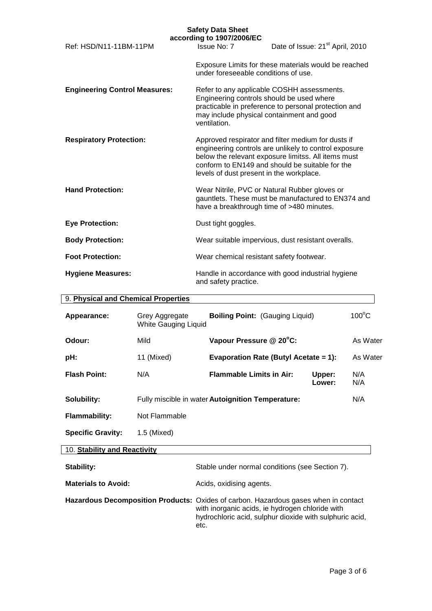| <b>Safety Data Sheet</b><br>according to 1907/2006/EC |                                                                                                        |                                                                                                                                                                                                                       |
|-------------------------------------------------------|--------------------------------------------------------------------------------------------------------|-----------------------------------------------------------------------------------------------------------------------------------------------------------------------------------------------------------------------|
| Ref: HSD/N11-11BM-11PM                                | Issue No: 7                                                                                            | Date of Issue: 21 <sup>st</sup> April, 2010                                                                                                                                                                           |
|                                                       | under foreseeable conditions of use.                                                                   | Exposure Limits for these materials would be reached                                                                                                                                                                  |
| <b>Engineering Control Measures:</b>                  | Engineering controls should be used where<br>may include physical containment and good<br>ventilation. | Refer to any applicable COSHH assessments.<br>practicable in preference to personal protection and                                                                                                                    |
| <b>Respiratory Protection:</b>                        | levels of dust present in the workplace.                                                               | Approved respirator and filter medium for dusts if<br>engineering controls are unlikely to control exposure<br>below the relevant exposure limitss. All items must<br>conform to EN149 and should be suitable for the |
| <b>Hand Protection:</b>                               | have a breakthrough time of >480 minutes.                                                              | Wear Nitrile, PVC or Natural Rubber gloves or<br>gauntlets. These must be manufactured to EN374 and                                                                                                                   |
| <b>Eye Protection:</b>                                | Dust tight goggles.                                                                                    |                                                                                                                                                                                                                       |
| <b>Body Protection:</b>                               |                                                                                                        | Wear suitable impervious, dust resistant overalls.                                                                                                                                                                    |
| <b>Foot Protection:</b>                               | Wear chemical resistant safety footwear.                                                               |                                                                                                                                                                                                                       |
| <b>Hygiene Measures:</b>                              | and safety practice.                                                                                   | Handle in accordance with good industrial hygiene                                                                                                                                                                     |

| 9. Physical and Chemical Properties |                                        |                                                   |                  |                 |
|-------------------------------------|----------------------------------------|---------------------------------------------------|------------------|-----------------|
| Appearance:                         | Grey Aggregate<br>White Gauging Liquid | <b>Boiling Point: (Gauging Liquid)</b>            |                  | $100^{\circ}$ C |
| Odour:                              | Mild                                   | Vapour Pressure @ 20°C:                           |                  | As Water        |
| pH:                                 | 11 (Mixed)                             | Evaporation Rate (Butyl Acetate = 1):             |                  | As Water        |
| <b>Flash Point:</b>                 | N/A                                    | <b>Flammable Limits in Air:</b>                   | Upper:<br>Lower: | N/A<br>N/A      |
| Solubility:                         |                                        | Fully miscible in water Autoignition Temperature: |                  | N/A             |
| <b>Flammability:</b>                | Not Flammable                          |                                                   |                  |                 |
| <b>Specific Gravity:</b>            | 1.5 (Mixed)                            |                                                   |                  |                 |

# 10. **Stability and Reactivity**

| Stability:                 | Stable under normal conditions (see Section 7).                                                                                                                                                           |
|----------------------------|-----------------------------------------------------------------------------------------------------------------------------------------------------------------------------------------------------------|
| <b>Materials to Avoid:</b> | Acids, oxidising agents.                                                                                                                                                                                  |
|                            | Hazardous Decomposition Products: Oxides of carbon. Hazardous gases when in contact<br>with inorganic acids, ie hydrogen chloride with<br>hydrochloric acid, sulphur dioxide with sulphuric acid,<br>etc. |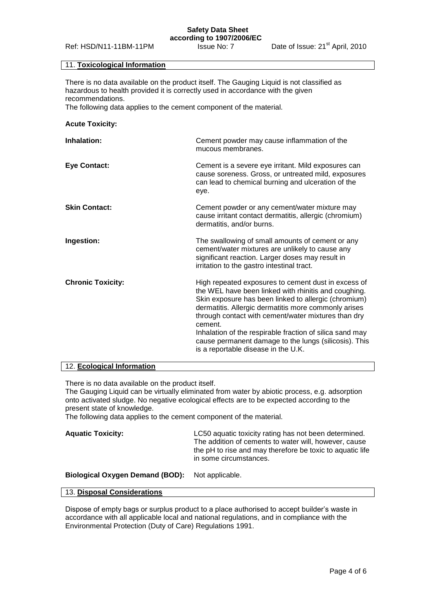#### **Safety Data Sheet according to 1907/2006/EC**

## 11. **Toxicological Information**

There is no data available on the product itself. The Gauging Liquid is not classified as hazardous to health provided it is correctly used in accordance with the given recommendations.

The following data applies to the cement component of the material.

# **Acute Toxicity:**

| Inhalation:              | Cement powder may cause inflammation of the<br>mucous membranes.                                                                                                                                                                                                                                                                                                                                                                                          |
|--------------------------|-----------------------------------------------------------------------------------------------------------------------------------------------------------------------------------------------------------------------------------------------------------------------------------------------------------------------------------------------------------------------------------------------------------------------------------------------------------|
| <b>Eye Contact:</b>      | Cement is a severe eye irritant. Mild exposures can<br>cause soreness. Gross, or untreated mild, exposures<br>can lead to chemical burning and ulceration of the<br>eye.                                                                                                                                                                                                                                                                                  |
| <b>Skin Contact:</b>     | Cement powder or any cement/water mixture may<br>cause irritant contact dermatitis, allergic (chromium)<br>dermatitis, and/or burns.                                                                                                                                                                                                                                                                                                                      |
| Ingestion:               | The swallowing of small amounts of cement or any<br>cement/water mixtures are unlikely to cause any<br>significant reaction. Larger doses may result in<br>irritation to the gastro intestinal tract.                                                                                                                                                                                                                                                     |
| <b>Chronic Toxicity:</b> | High repeated exposures to cement dust in excess of<br>the WEL have been linked with rhinitis and coughing.<br>Skin exposure has been linked to allergic (chromium)<br>dermatitis. Allergic dermatitis more commonly arises<br>through contact with cement/water mixtures than dry<br>cement.<br>Inhalation of the respirable fraction of silica sand may<br>cause permanent damage to the lungs (silicosis). This<br>is a reportable disease in the U.K. |

#### 12. **Ecological Information**

There is no data available on the product itself.

The Gauging Liquid can be virtually eliminated from water by abiotic process, e.g. adsorption onto activated sludge. No negative ecological effects are to be expected according to the present state of knowledge.

The following data applies to the cement component of the material.

| <b>Aquatic Toxicity:</b> | LC50 aquatic toxicity rating has not been determined.<br>The addition of cements to water will, however, cause<br>the pH to rise and may therefore be toxic to aquatic life |
|--------------------------|-----------------------------------------------------------------------------------------------------------------------------------------------------------------------------|
|                          | in some circumstances.                                                                                                                                                      |

## **Biological Oxygen Demand (BOD):** Not applicable.

### 13. **Disposal Considerations**

Dispose of empty bags or surplus product to a place authorised to accept builder's waste in accordance with all applicable local and national regulations, and in compliance with the Environmental Protection (Duty of Care) Regulations 1991.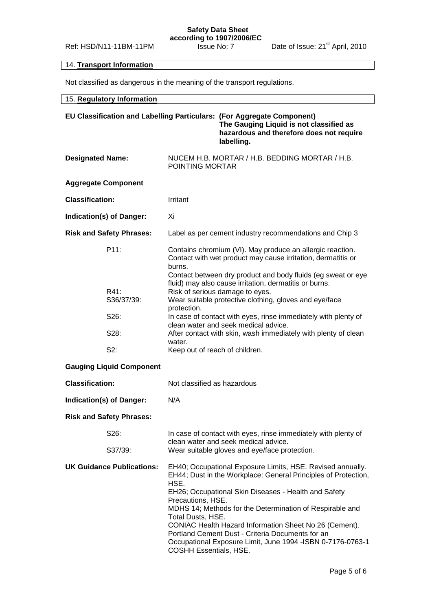# 14. **Transport Information**

Not classified as dangerous in the meaning of the transport regulations.

| 15. Regulatory Information       |                                                                                                                                                                                                                                                                                                                                                                                                                                                                                                                  |  |
|----------------------------------|------------------------------------------------------------------------------------------------------------------------------------------------------------------------------------------------------------------------------------------------------------------------------------------------------------------------------------------------------------------------------------------------------------------------------------------------------------------------------------------------------------------|--|
|                                  | EU Classification and Labelling Particulars: (For Aggregate Component)<br>The Gauging Liquid is not classified as<br>hazardous and therefore does not require<br>labelling.                                                                                                                                                                                                                                                                                                                                      |  |
| <b>Designated Name:</b>          | NUCEM H.B. MORTAR / H.B. BEDDING MORTAR / H.B.<br>POINTING MORTAR                                                                                                                                                                                                                                                                                                                                                                                                                                                |  |
| <b>Aggregate Component</b>       |                                                                                                                                                                                                                                                                                                                                                                                                                                                                                                                  |  |
| <b>Classification:</b>           | Irritant                                                                                                                                                                                                                                                                                                                                                                                                                                                                                                         |  |
| Indication(s) of Danger:         | Хi                                                                                                                                                                                                                                                                                                                                                                                                                                                                                                               |  |
| <b>Risk and Safety Phrases:</b>  | Label as per cement industry recommendations and Chip 3                                                                                                                                                                                                                                                                                                                                                                                                                                                          |  |
| P11:                             | Contains chromium (VI). May produce an allergic reaction.<br>Contact with wet product may cause irritation, dermatitis or<br>burns.<br>Contact between dry product and body fluids (eg sweat or eye                                                                                                                                                                                                                                                                                                              |  |
| R41:<br>S36/37/39:               | fluid) may also cause irritation, dermatitis or burns.<br>Risk of serious damage to eyes.<br>Wear suitable protective clothing, gloves and eye/face<br>protection.<br>In case of contact with eyes, rinse immediately with plenty of<br>clean water and seek medical advice.<br>After contact with skin, wash immediately with plenty of clean<br>water.<br>Keep out of reach of children.                                                                                                                       |  |
| S26:                             |                                                                                                                                                                                                                                                                                                                                                                                                                                                                                                                  |  |
| S28:                             |                                                                                                                                                                                                                                                                                                                                                                                                                                                                                                                  |  |
| S2:                              |                                                                                                                                                                                                                                                                                                                                                                                                                                                                                                                  |  |
| <b>Gauging Liquid Component</b>  |                                                                                                                                                                                                                                                                                                                                                                                                                                                                                                                  |  |
| <b>Classification:</b>           | Not classified as hazardous                                                                                                                                                                                                                                                                                                                                                                                                                                                                                      |  |
| Indication(s) of Danger:         | N/A                                                                                                                                                                                                                                                                                                                                                                                                                                                                                                              |  |
| <b>Risk and Safety Phrases:</b>  |                                                                                                                                                                                                                                                                                                                                                                                                                                                                                                                  |  |
| S26:                             | In case of contact with eyes, rinse immediately with plenty of<br>clean water and seek medical advice.                                                                                                                                                                                                                                                                                                                                                                                                           |  |
| S37/39:                          | Wear suitable gloves and eye/face protection.                                                                                                                                                                                                                                                                                                                                                                                                                                                                    |  |
| <b>UK Guidance Publications:</b> | EH40; Occupational Exposure Limits, HSE. Revised annually.<br>EH44; Dust in the Workplace: General Principles of Protection,<br>HSE.<br>EH26; Occupational Skin Diseases - Health and Safety<br>Precautions, HSE.<br>MDHS 14; Methods for the Determination of Respirable and<br>Total Dusts, HSE.<br>CONIAC Health Hazard Information Sheet No 26 (Cement).<br>Portland Cement Dust - Criteria Documents for an<br>Occupational Exposure Limit, June 1994 - ISBN 0-7176-0763-1<br><b>COSHH Essentials, HSE.</b> |  |